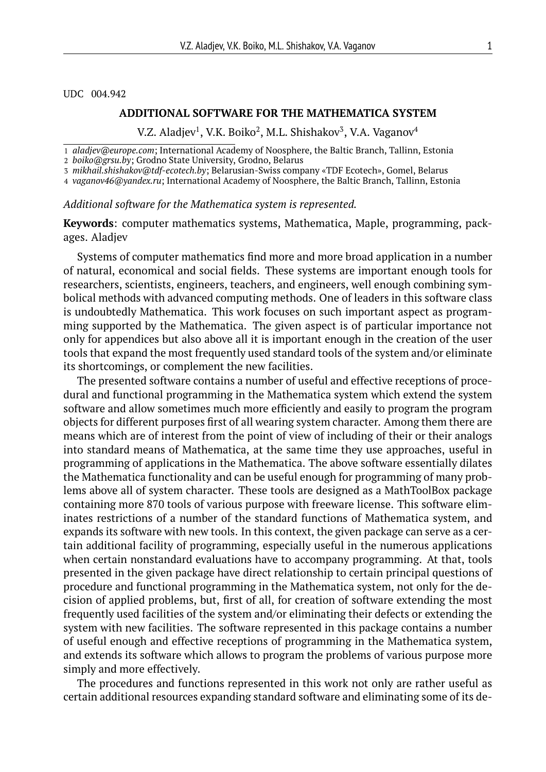UDC 004.942

## **ADDITIONAL SOFTWARE FOR THE MATHEMATICA SYSTEM**

V.Z. Aladjev $^1$ , V.K. Boiko $^2$ , M.L. Shishakov $^3$ , V.A. Vaganov $^4$ 

1 *aladjev@europe.com*; International Academy of Noosphere, the Baltic Branch, Tallinn, Estonia

3 *mikhail.shishakov@tdf-ecotech.by*; Belarusian-Swiss company «TDF Ecotech», Gomel, Belarus

4 *vaganov46@yandex.ru*; International Academy of Noosphere, the Baltic Branch, Tallinn, Estonia

*Additional software for the Mathematica system is represented.*

**Keywords**: computer mathematics systems, Mathematica, Maple, programming, packages. Aladjev

Systems of computer mathematics find more and more broad application in a number of natural, economical and social fields. These systems are important enough tools for researchers, scientists, engineers, teachers, and engineers, well enough combining symbolical methods with advanced computing methods. One of leaders in this software class is undoubtedly Mathematica. This work focuses on such important aspect as programming supported by the Mathematica. The given aspect is of particular importance not only for appendices but also above all it is important enough in the creation of the user tools that expand the most frequently used standard tools of the system and/or eliminate its shortcomings, or complement the new facilities.

The presented software contains a number of useful and effective receptions of procedural and functional programming in the Mathematica system which extend the system software and allow sometimes much more efficiently and easily to program the program objects for different purposes first of all wearing system character. Among them there are means which are of interest from the point of view of including of their or their analogs into standard means of Mathematica, at the same time they use approaches, useful in programming of applications in the Mathematica. The above software essentially dilates the Mathematica functionality and can be useful enough for programming of many problems above all of system character. These tools are designed as a MathToolBox package containing more 870 tools of various purpose with freeware license. This software eliminates restrictions of a number of the standard functions of Mathematica system, and expands its software with new tools. In this context, the given package can serve as a certain additional facility of programming, especially useful in the numerous applications when certain nonstandard evaluations have to accompany programming. At that, tools presented in the given package have direct relationship to certain principal questions of procedure and functional programming in the Mathematica system, not only for the decision of applied problems, but, first of all, for creation of software extending the most frequently used facilities of the system and/or eliminating their defects or extending the system with new facilities. The software represented in this package contains a number of useful enough and effective receptions of programming in the Mathematica system, and extends its software which allows to program the problems of various purpose more simply and more effectively.

The procedures and functions represented in this work not only are rather useful as certain additional resources expanding standard software and eliminating some of its de-

<sup>2</sup> *boiko@grsu.by*; Grodno State University, Grodno, Belarus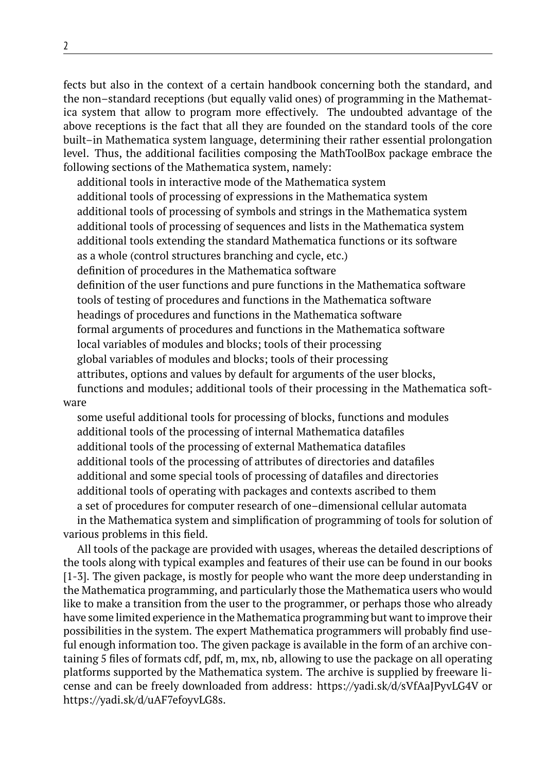fects but also in the context of a certain handbook concerning both the standard, and the non–standard receptions (but equally valid ones) of programming in the Mathematica system that allow to program more effectively. The undoubted advantage of the above receptions is the fact that all they are founded on the standard tools of the core built–in Mathematica system language, determining their rather essential prolongation level. Thus, the additional facilities composing the MathToolBox package embrace the following sections of the Mathematica system, namely:

additional tools in interactive mode of the Mathematica system additional tools of processing of expressions in the Mathematica system additional tools of processing of symbols and strings in the Mathematica system additional tools of processing of sequences and lists in the Mathematica system additional tools extending the standard Mathematica functions or its software as a whole (control structures branching and cycle, etc.) definition of procedures in the Mathematica software definition of the user functions and pure functions in the Mathematica software tools of testing of procedures and functions in the Mathematica software headings of procedures and functions in the Mathematica software formal arguments of procedures and functions in the Mathematica software local variables of modules and blocks; tools of their processing global variables of modules and blocks; tools of their processing attributes, options and values by default for arguments of the user blocks, functions and modules; additional tools of their processing in the Mathematica soft-

ware

some useful additional tools for processing of blocks, functions and modules additional tools of the processing of internal Mathematica datafiles additional tools of the processing of external Mathematica datafiles additional tools of the processing of attributes of directories and datafiles additional and some special tools of processing of datafiles and directories additional tools of operating with packages and contexts ascribed to them a set of procedures for computer research of one–dimensional cellular automata in the Mathematica system and simplification of programming of tools for solution of

various problems in this field.

All tools of the package are provided with usages, whereas the detailed descriptions of the tools along with typical examples and features of their use can be found in our books [1-3]. The given package, is mostly for people who want the more deep understanding in the Mathematica programming, and particularly those the Mathematica users who would like to make a transition from the user to the programmer, or perhaps those who already have some limited experience in the Mathematica programming but want to improve their possibilities in the system. The expert Mathematica programmers will probably find useful enough information too. The given package is available in the form of an archive containing 5 files of formats cdf, pdf, m, mx, nb, allowing to use the package on all operating platforms supported by the Mathematica system. The archive is supplied by freeware license and can be freely downloaded from address: https://yadi.sk/d/sVfAaJPyvLG4V or https://yadi.sk/d/uAF7efoyvLG8s.